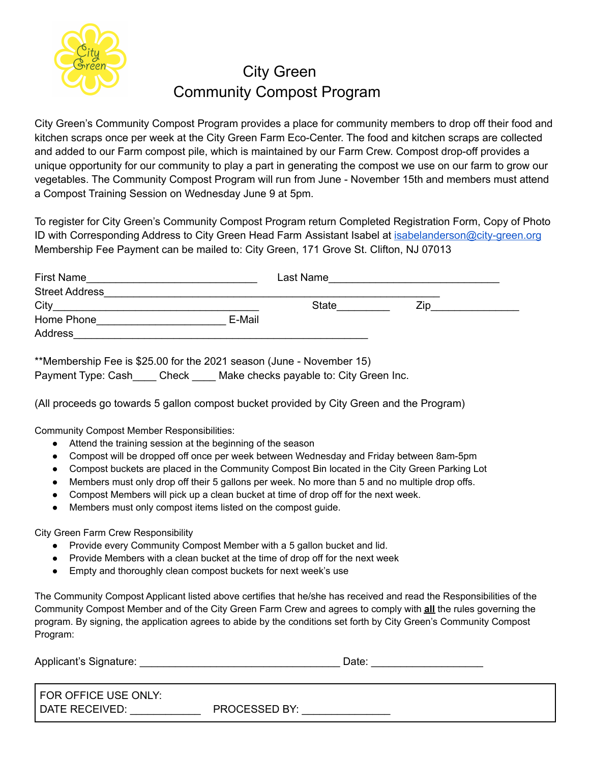

## City Green Community Compost Program

City Green's Community Compost Program provides a place for community members to drop off their food and kitchen scraps once per week at the City Green Farm Eco-Center. The food and kitchen scraps are collected and added to our Farm compost pile, which is maintained by our Farm Crew. Compost drop-off provides a unique opportunity for our community to play a part in generating the compost we use on our farm to grow our vegetables. The Community Compost Program will run from June - November 15th and members must attend a Compost Training Session on Wednesday June 9 at 5pm.

To register for City Green's Community Compost Program return Completed Registration Form, Copy of Photo ID with Corresponding Address to City Green Head Farm Assistant Isabel at [isabelanderson@city-green.org](mailto:isabelanderson@city-green.org) Membership Fee Payment can be mailed to: City Green, 171 Grove St. Clifton, NJ 07013

| First Name            |        | Last Name    |     |
|-----------------------|--------|--------------|-----|
| <b>Street Address</b> |        |              |     |
| City                  |        | <b>State</b> | Zin |
| Home Phone            | E-Mail |              |     |
| Address               |        |              |     |

\*\*Membership Fee is \$25.00 for the 2021 season (June - November 15)

Payment Type: Cash Check Make checks payable to: City Green Inc.

(All proceeds go towards 5 gallon compost bucket provided by City Green and the Program)

Community Compost Member Responsibilities:

- Attend the training session at the beginning of the season
- Compost will be dropped off once per week between Wednesday and Friday between 8am-5pm
- Compost buckets are placed in the Community Compost Bin located in the City Green Parking Lot
- Members must only drop off their 5 gallons per week. No more than 5 and no multiple drop offs.
- Compost Members will pick up a clean bucket at time of drop off for the next week.
- Members must only compost items listed on the compost guide.

City Green Farm Crew Responsibility

- Provide every Community Compost Member with a 5 gallon bucket and lid.
- Provide Members with a clean bucket at the time of drop off for the next week
- Empty and thoroughly clean compost buckets for next week's use

The Community Compost Applicant listed above certifies that he/she has received and read the Responsibilities of the Community Compost Member and of the City Green Farm Crew and agrees to comply with **all** the rules governing the program. By signing, the application agrees to abide by the conditions set forth by City Green's Community Compost Program:

| Applicant's Signature: |  | Jate |
|------------------------|--|------|
|------------------------|--|------|

| FOR OFFICE USE ONLY: |                      |
|----------------------|----------------------|
| DATE RECEIVED:       | <b>PROCESSED BY:</b> |